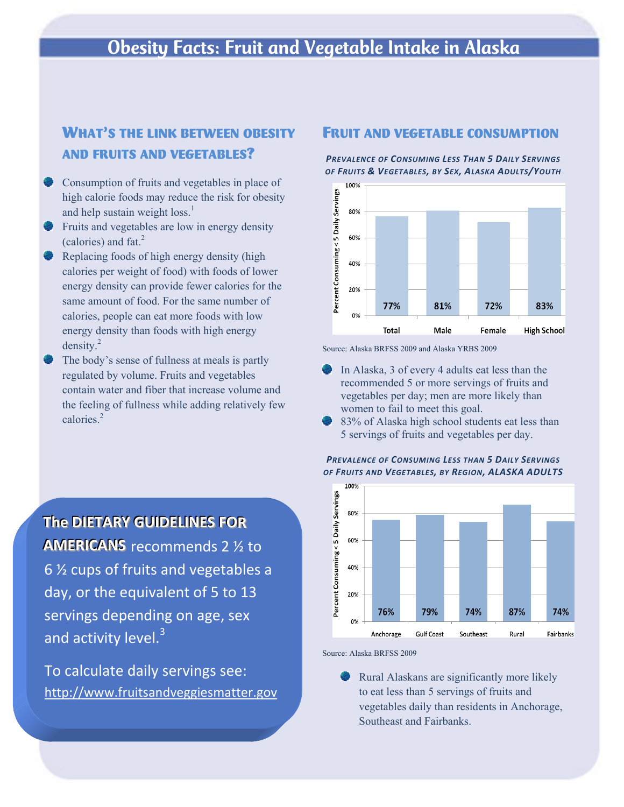# Obesity Facts: Fruit and Vegetable Intake in Alaska

## WHAT'S THE LINK BETWEEN OBESITY AND FRUITS AND VEGETABLES?

- **Consumption of fruits and vegetables in place of** high calorie foods may reduce the risk for obesity and help sustain weight loss.<sup>1</sup>
- Fruits and vegetables are low in energy density (calories) and fat.2
- Replacing foods of high energy density (high calories per weight of food) with foods of lower energy density can provide fewer calories for the same amount of food. For the same number of calories, people can eat more foods with low energy density than foods with high energy density. $^{2}$
- The body's sense of fullness at meals is partly regulated by volume. Fruits and vegetables contain water and fiber that increase volume and the feeling of fullness while adding relatively few calories<sup>2</sup>

**The DIETARY GUIDELINES FOR AMERICANS** recommends 2 <sup>1/2</sup> to 6 ½ cups of fruits and vegetables a day, or the equivalent of 5 to 13 servings depending on age, sex and activity level.<sup>3</sup>

To calculate daily servings see: [http://www.fruitsandveggiesmatter.gov](http://www.fruitsandveggiesmatter.gov/)

#### FRUIT AND VEGETABLE CONSUMPTION

*PREVALENCE OF CONSUMING LESS THAN 5 DAILY SERVINGS OF FRUITS & VEGETABLES, BY SEX, ALASKA ADULTS/YOUTH*



Source: Alaska BRFSS 2009 and Alaska YRBS 2009

- In Alaska, 3 of every 4 adults eat less than the recommended 5 or more servings of fruits and vegetables per day; men are more likely than women to fail to meet this goal.
- 83% of Alaska high school students eat less than 5 servings of fruits and vegetables per day.

#### *PREVALENCE OF CONSUMING LESS THAN 5 DAILY SERVINGS OF FRUITS AND VEGETABLES, BY REGION, ALASKA ADULTS*



Source: Alaska BRFSS 2009

Rural Alaskans are significantly more likely to eat less than 5 servings of fruits and vegetables daily than residents in Anchorage, Southeast and Fairbanks.